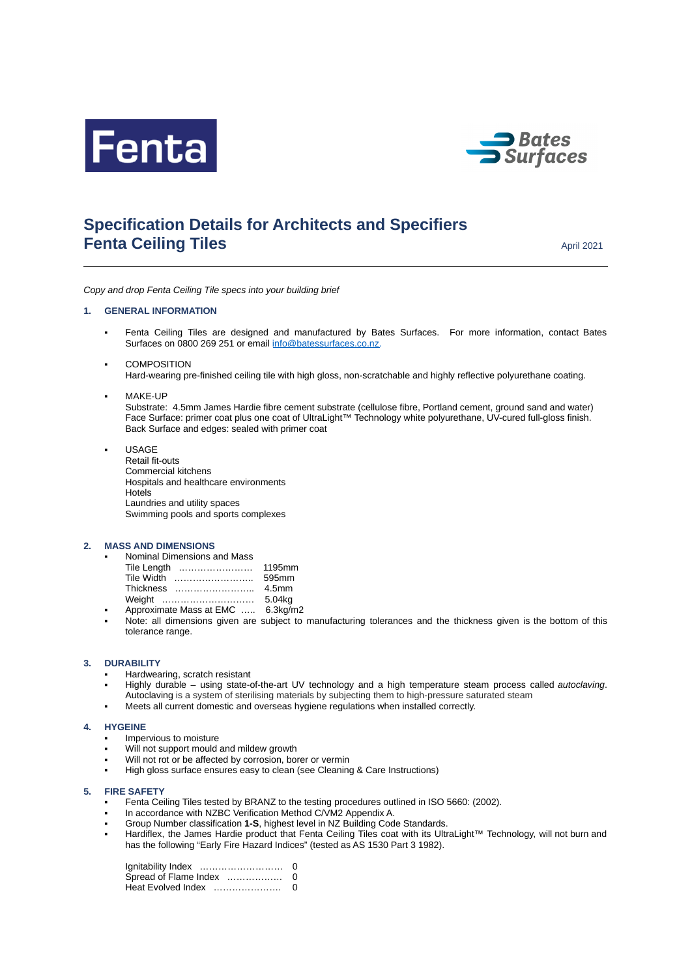



# **Specification Details for Architects and Specifiers Fenta Ceiling Tiles** April 2021

*Copy and drop Fenta Ceiling Tile specs into your building brief*

# **1. GENERAL INFORMATION**

- Fenta Ceiling Tiles are designed and manufactured by Bates Surfaces. For more information, contact Bates Surfaces on 0800 269 251 or email [info@batessurfaces.co.nz.](mailto:info@batessurfaces.co.nz)
- **COMPOSITION** Hard-wearing pre-finished ceiling tile with high gloss, non-scratchable and highly reflective polyurethane coating.

## MAKE-UP

Substrate: 4.5mm James Hardie fibre cement substrate (cellulose fibre, Portland cement, ground sand and water) Face Surface: primer coat plus one coat of UltraLight™ Technology white polyurethane, UV-cured full-gloss finish. Back Surface and edges: sealed with primer coat

▪ USAGE Retail fit-outs Commercial kitchens Hospitals and healthcare environments Hotels Laundries and utility spaces Swimming pools and sports complexes

#### **2. MASS AND DIMENSIONS**

| Nominal Dimensions and Mass |                   |
|-----------------------------|-------------------|
| Tile Length                 | 1195mm            |
| Tile Width                  | 595mm             |
| Thickness                   | 4.5 <sub>mm</sub> |
| Weight                      | 5.04kg            |
|                             |                   |

- Approximate Mass at EMC ..... 6.3kg/m2
- Note: all dimensions given are subject to manufacturing tolerances and the thickness given is the bottom of this tolerance range.

## **3. DURABILITY**

- Hardwearing, scratch resistant
- Highly durable using state-of-the-art UV technology and a high temperature steam process called *autoclaving*. Autoclaving is a system of sterilising materials by subjecting them to high-pressure saturated steam
- Meets all current domestic and overseas hygiene regulations when installed correctly.

#### **4. HYGEINE**

- Impervious to moisture
- Will not support mould and mildew growth
- Will not rot or be affected by corrosion, borer or vermin
- High gloss surface ensures easy to clean (see Cleaning & Care Instructions)

## **5. FIRE SAFETY**

- Fenta Ceiling Tiles tested by BRANZ to the testing procedures outlined in ISO 5660: (2002).
- In accordance with NZBC Verification Method C/VM2 Appendix A.
- Group Number classification 1-S, highest level in NZ Building Code Standards.
- Hardiflex, the James Hardie product that Fenta Ceiling Tiles coat with its UltraLight™ Technology, will not burn and has the following "Early Fire Hazard Indices" (tested as AS 1530 Part 3 1982).

| Ignitability Index    | 0 |
|-----------------------|---|
| Spread of Flame Index | 0 |
| Heat Evolved Index    | 0 |